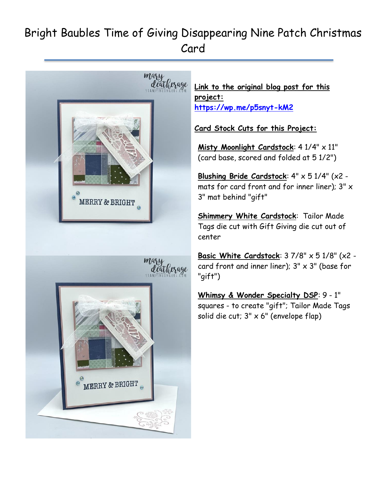## Bright Baubles Time of Giving Disappearing Nine Patch Christmas Card



**Link to the original blog post for this project: <https://wp.me/p5snyt-kM2>**

**Card Stock Cuts for this Project:**

Misty Moonlight Cardstock: 4 1/4" x 11" (card base, scored and folded at 5 1/2")

**Blushing Bride Cardstock**: 4" x 5 1/4" (x2 mats for card front and for inner liner);  $3" \times$ 3" mat behind "gift"

**Shimmery White Cardstock**: Tailor Made Tags die cut with Gift Giving die cut out of center

**Basic White Cardstock**: 3 7/8" x 5 1/8" (x2 card front and inner liner);  $3'' \times 3''$  (base for "gift")

**Whimsy & Wonder Specialty DSP**: 9 - 1" squares - to create "gift"; Tailor Made Tags solid die cut;  $3" \times 6"$  (envelope flap)

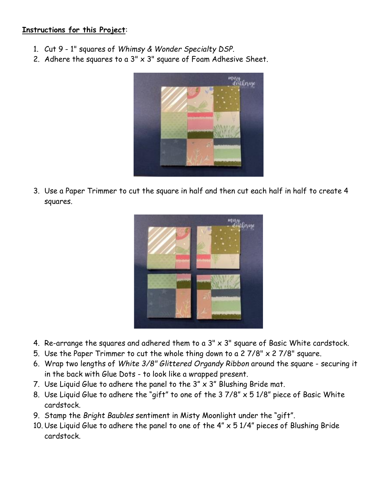## **Instructions for this Project**:

- 1. Cut 9 1" squares of *Whimsy & Wonder Specialty DSP*.
- 2. Adhere the squares to a  $3'' \times 3''$  square of Foam Adhesive Sheet.



3. Use a Paper Trimmer to cut the square in half and then cut each half in half to create 4 squares.



- 4. Re-arrange the squares and adhered them to a  $3'' \times 3''$  square of Basic White cardstock.
- 5. Use the Paper Trimmer to cut the whole thing down to a 2  $7/8$ " x 2  $7/8$ " square.
- 6. Wrap two lengths of *White 3/8" Glittered Organdy Ribbon* around the square securing it in the back with Glue Dots - to look like a wrapped present.
- 7. Use Liquid Glue to adhere the panel to the  $3'' \times 3''$  Blushing Bride mat.
- 8. Use Liquid Glue to adhere the "gift" to one of the  $37/8" \times 51/8"$  piece of Basic White cardstock.
- 9. Stamp the *Bright Baubles* sentiment in Misty Moonlight under the "gift".
- 10. Use Liquid Glue to adhere the panel to one of the  $4'' \times 51/4''$  pieces of Blushing Bride cardstock.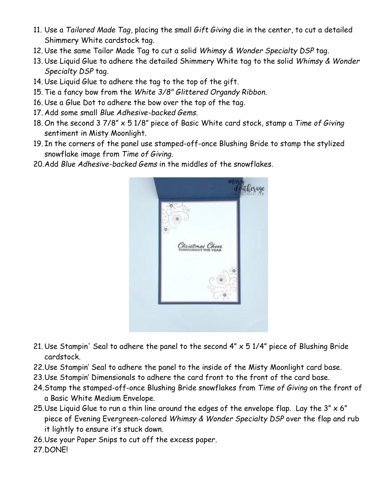- 11. Use a *Tailored Made Tag*, placing the small *Gift Giving* die in the center, to cut a detailed Shimmery White cardstock tag.
- 12. Use the same Tailor Made Tag to cut a solid *Whimsy & Wonder Specialty DSP* tag.
- 13. Use Liquid Glue to adhere the detailed Shimmery White tag to the solid *Whimsy & Wonder Specialty DSP* tag.
- 14. Use Liquid Glue to adhere the tag to the top of the gift.
- 15. Tie a fancy bow from the *White 3/8" Glittered Organdy Ribbon.*
- 16. Use a Glue Dot to adhere the bow over the top of the tag.
- 17. Add some small *Blue Adhesive-backed Gems*.
- 18. On the second 3 7/8" x 5 1/8" piece of Basic White card stock, stamp a *Time of Giving* sentiment in Misty Moonlight.
- 19. In the corners of the panel use stamped-off-once Blushing Bride to stamp the stylized snowflake image from *Time of Giving*.
- 20.Add *Blue Adhesive-backed Gems* in the middles of the snowflakes.



- 21. Use Stampin' Seal to adhere the panel to the second  $4'' \times 5$  1/4" piece of Blushing Bride cardstock.
- 22.Use Stampin' Seal to adhere the panel to the inside of the Misty Moonlight card base.
- 23.Use Stampin' Dimensionals to adhere the card front to the front of the card base.
- 24.Stamp the stamped-off-once Blushing Bride snowflakes from *Time of Giving* on the front of a Basic White Medium Envelope.
- 25. Use Liquid Glue to run a thin line around the edges of the envelope flap. Lay the  $3'' \times 6''$ piece of Evening Evergreen-colored *Whimsy & Wonder Specialty DSP* over the flap and rub it lightly to ensure it's stuck down.
- 26.Use your Paper Snips to cut off the excess paper.
- 27.DONE!